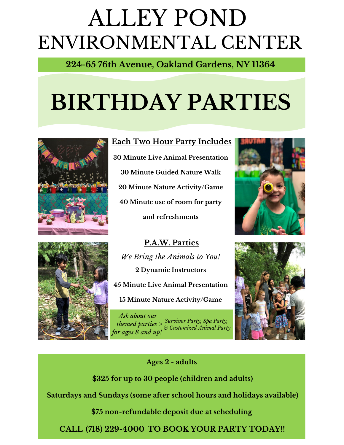# ENVIRONMENTAL CENTER ALLEY POND

**224-65 76th Avenue, Oakland Gardens, NY 11364**

# **BIRTHDAY PARTIES**



#### **Each Two Hour Party Includes**

 **Minute Live Animal Presentation Minute Guided Nature Walk Minute Nature Activity/Game Minute use of room for party and refreshments**



*Ask about our themed parties > for ages 8 and up! Survivor Party, Spa Party, & Customized Animal Party*





**Ages 2 - adults**

**\$325 for up to 30 people (children and adults)**

**Saturdays and Sundays (some after school hours and holidays available)**

**\$75 non-refundable deposit due at scheduling**

**CALL TO BOOK YOUR PARTY TODAY!! (718) 229-4000**